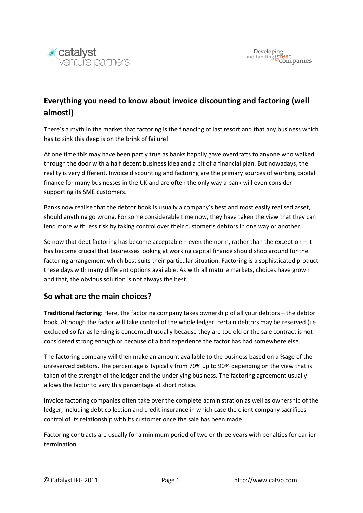

# **Everything you need to know about invoice discounting and factoring (well almost!)**

There's a myth in the market that factoring is the financing of last resort and that any business which has to sink this deep is on the brink of failure!

At one time this may have been partly true as banks happily gave overdrafts to anyone who walked through the door with a half decent business idea and a bit of a financial plan. But nowadays, the reality is very different. Invoice discounting and factoring are the primary sources of working capital finance for many businesses in the UK and are often the only way a bank will even consider supporting its SME customers.

Banks now realise that the debtor book is usually a company's best and most easily realised asset, should anything go wrong. For some considerable time now, they have taken the view that they can lend more with less risk by taking control over their customer's debtors in one way or another.

So now that debt factoring has become acceptable – even the norm, rather than the exception – it has become crucial that businesses looking at working capital finance should shop around for the factoring arrangement which best suits their particular situation. Factoring is a sophisticated product these days with many different options available. As with all mature markets, choices have grown and that, the obvious solution is not always the best.

### **So what are the main choices?**

**Traditional factoring:** Here, the factoring company takes ownership of all your debtors – the debtor book. Although the factor will take control of the whole ledger, certain debtors may be reserved (i.e. excluded so far as lending is concerned) usually because they are too old or the sale contract is not considered strong enough or because of a bad experience the factor has had somewhere else.

The factoring company will then make an amount available to the business based on a %age of the unreserved debtors. The percentage is typically from 70% up to 90% depending on the view that is taken of the strength of the ledger and the underlying business. The factoring agreement usually allows the factor to vary this percentage at short notice.

Invoice factoring companies often take over the complete administration as well as ownership of the ledger, including debt collection and credit insurance in which case the client company sacrifices control of its relationship with its customer once the sale has been made.

Factoring contracts are usually for a minimum period of two or three years with penalties for earlier termination.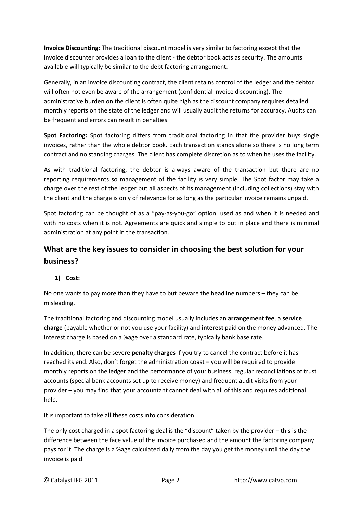**Invoice Discounting:** The traditional discount model is very similar to factoring except that the invoice discounter provides a loan to the client - the debtor book acts as security. The amounts available will typically be similar to the debt factoring arrangement.

Generally, in an invoice discounting contract, the client retains control of the ledger and the debtor will often not even be aware of the arrangement (confidential invoice discounting). The administrative burden on the client is often quite high as the discount company requires detailed monthly reports on the state of the ledger and will usually audit the returns for accuracy. Audits can be frequent and errors can result in penalties.

**Spot Factoring:** Spot factoring differs from traditional factoring in that the provider buys single invoices, rather than the whole debtor book. Each transaction stands alone so there is no long term contract and no standing charges. The client has complete discretion as to when he uses the facility.

As with traditional factoring, the debtor is always aware of the transaction but there are no reporting requirements so management of the facility is very simple. The Spot factor may take a charge over the rest of the ledger but all aspects of its management (including collections) stay with the client and the charge is only of relevance for as long as the particular invoice remains unpaid.

Spot factoring can be thought of as a "pay-as-you-go" option, used as and when it is needed and with no costs when it is not. Agreements are quick and simple to put in place and there is minimal administration at any point in the transaction.

# **What are the key issues to consider in choosing the best solution for your business?**

### **1) Cost:**

No one wants to pay more than they have to but beware the headline numbers – they can be misleading.

The traditional factoring and discounting model usually includes an **arrangement fee**, a **service charge** (payable whether or not you use your facility) and **interest** paid on the money advanced. The interest charge is based on a %age over a standard rate, typically bank base rate.

In addition, there can be severe **penalty charges** if you try to cancel the contract before it has reached its end. Also, don't forget the administration coast – you will be required to provide monthly reports on the ledger and the performance of your business, regular reconciliations of trust accounts (special bank accounts set up to receive money) and frequent audit visits from your provider – you may find that your accountant cannot deal with all of this and requires additional help.

It is important to take all these costs into consideration.

The only cost charged in a spot factoring deal is the "discount" taken by the provider – this is the difference between the face value of the invoice purchased and the amount the factoring company pays for it. The charge is a %age calculated daily from the day you get the money until the day the invoice is paid.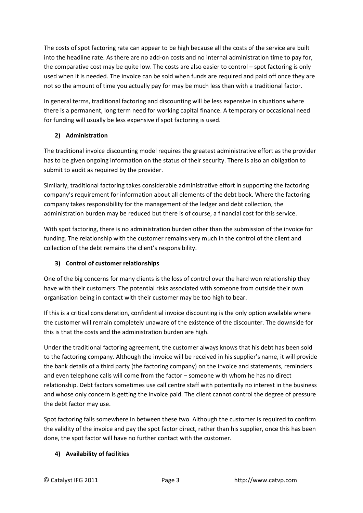The costs of spot factoring rate can appear to be high because all the costs of the service are built into the headline rate. As there are no add-on costs and no internal administration time to pay for, the comparative cost may be quite low. The costs are also easier to control – spot factoring is only used when it is needed. The invoice can be sold when funds are required and paid off once they are not so the amount of time you actually pay for may be much less than with a traditional factor.

In general terms, traditional factoring and discounting will be less expensive in situations where there is a permanent, long term need for working capital finance. A temporary or occasional need for funding will usually be less expensive if spot factoring is used.

### **2) Administration**

The traditional invoice discounting model requires the greatest administrative effort as the provider has to be given ongoing information on the status of their security. There is also an obligation to submit to audit as required by the provider.

Similarly, traditional factoring takes considerable administrative effort in supporting the factoring company's requirement for information about all elements of the debt book. Where the factoring company takes responsibility for the management of the ledger and debt collection, the administration burden may be reduced but there is of course, a financial cost for this service.

With spot factoring, there is no administration burden other than the submission of the invoice for funding. The relationship with the customer remains very much in the control of the client and collection of the debt remains the client's responsibility.

### **3) Control of customer relationships**

One of the big concerns for many clients is the loss of control over the hard won relationship they have with their customers. The potential risks associated with someone from outside their own organisation being in contact with their customer may be too high to bear.

If this is a critical consideration, confidential invoice discounting is the only option available where the customer will remain completely unaware of the existence of the discounter. The downside for this is that the costs and the administration burden are high.

Under the traditional factoring agreement, the customer always knows that his debt has been sold to the factoring company. Although the invoice will be received in his supplier's name, it will provide the bank details of a third party (the factoring company) on the invoice and statements, reminders and even telephone calls will come from the factor – someone with whom he has no direct relationship. Debt factors sometimes use call centre staff with potentially no interest in the business and whose only concern is getting the invoice paid. The client cannot control the degree of pressure the debt factor may use.

Spot factoring falls somewhere in between these two. Although the customer is required to confirm the validity of the invoice and pay the spot factor direct, rather than his supplier, once this has been done, the spot factor will have no further contact with the customer.

#### **4) Availability of facilities**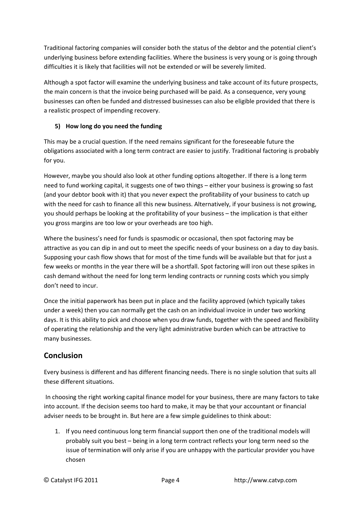Traditional factoring companies will consider both the status of the debtor and the potential client's underlying business before extending facilities. Where the business is very young or is going through difficulties it is likely that facilities will not be extended or will be severely limited.

Although a spot factor will examine the underlying business and take account of its future prospects, the main concern is that the invoice being purchased will be paid. As a consequence, very young businesses can often be funded and distressed businesses can also be eligible provided that there is a realistic prospect of impending recovery.

#### **5) How long do you need the funding**

This may be a crucial question. If the need remains significant for the foreseeable future the obligations associated with a long term contract are easier to justify. Traditional factoring is probably for you.

However, maybe you should also look at other funding options altogether. If there is a long term need to fund working capital, it suggests one of two things – either your business is growing so fast (and your debtor book with it) that you never expect the profitability of your business to catch up with the need for cash to finance all this new business. Alternatively, if your business is not growing, you should perhaps be looking at the profitability of your business – the implication is that either you gross margins are too low or your overheads are too high.

Where the business's need for funds is spasmodic or occasional, then spot factoring may be attractive as you can dip in and out to meet the specific needs of your business on a day to day basis. Supposing your cash flow shows that for most of the time funds will be available but that for just a few weeks or months in the year there will be a shortfall. Spot factoring will iron out these spikes in cash demand without the need for long term lending contracts or running costs which you simply don't need to incur.

Once the initial paperwork has been put in place and the facility approved (which typically takes under a week) then you can normally get the cash on an individual invoice in under two working days. It is this ability to pick and choose when you draw funds, together with the speed and flexibility of operating the relationship and the very light administrative burden which can be attractive to many businesses.

## **Conclusion**

Every business is different and has different financing needs. There is no single solution that suits all these different situations.

 In choosing the right working capital finance model for your business, there are many factors to take into account. If the decision seems too hard to make, it may be that your accountant or financial adviser needs to be brought in. But here are a few simple guidelines to think about:

1. If you need continuous long term financial support then one of the traditional models will probably suit you best – being in a long term contract reflects your long term need so the issue of termination will only arise if you are unhappy with the particular provider you have chosen